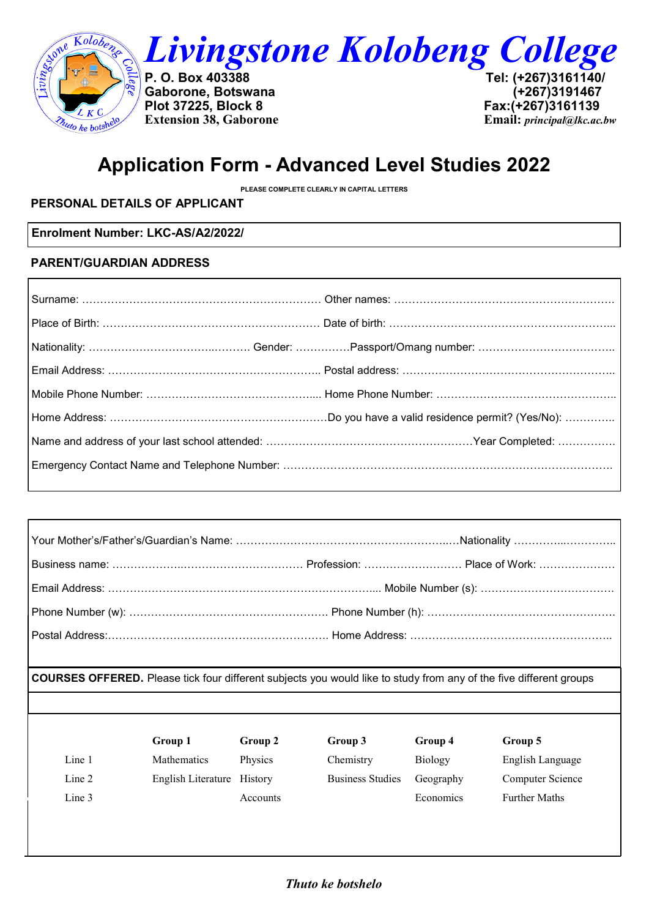

 $\mathbf{r}$ 

*Livingstone Kolobeng College* 

**Gaborone, Botswana (+267)3191467 Plot 37225, Block 8** 

**P. O. Box 403388 Tel: (+267)3161140/ Extension 38, Gaborone Email:** *principal@lkc.ac.bw*

# **Application Form - Advanced Level Studies 2022**

**PLEASE COMPLETE CLEARLY IN CAPITAL LETTERS**

# **PERSONAL DETAILS OF APPLICANT**

**Enrolment Number: LKC-AS/A2/2022/**

#### **PARENT/GUARDIAN ADDRESS**

| Business name: ………………………………………………… Profession: ……………………… Place of Work: ………………… |  |
|---------------------------------------------------------------------------------|--|
|                                                                                 |  |
|                                                                                 |  |
|                                                                                 |  |

**COURSES OFFERED.** Please tick four different subjects you would like to study from any of the five different groups

|        | Group 1                    | Group 2  | Group 3                 | Group 4        | Group 5              |
|--------|----------------------------|----------|-------------------------|----------------|----------------------|
| Line 1 | <b>Mathematics</b>         | Physics  | Chemistry               | <b>Biology</b> | English Language     |
| Line 2 | English Literature History |          | <b>Business Studies</b> | Geography      | Computer Science     |
| Line 3 |                            | Accounts |                         | Economics      | <b>Further Maths</b> |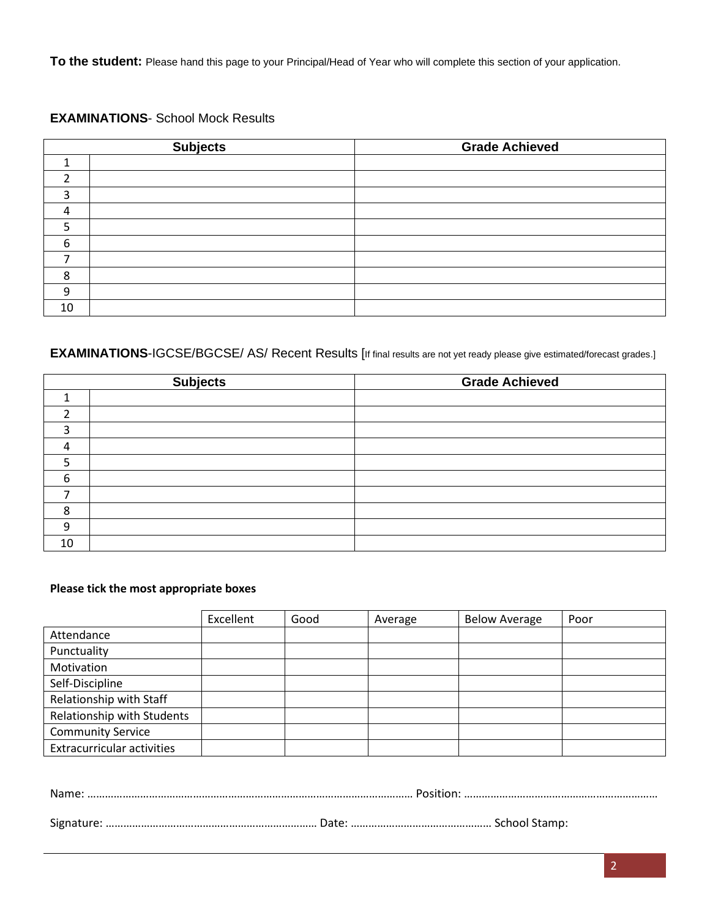**To the student:** Please hand this page to your Principal/Head of Year who will complete this section of your application.

#### **EXAMINATIONS**- School Mock Results

|    | <b>Subjects</b> | <b>Grade Achieved</b> |
|----|-----------------|-----------------------|
|    |                 |                       |
|    |                 |                       |
|    |                 |                       |
|    |                 |                       |
|    |                 |                       |
| 6  |                 |                       |
|    |                 |                       |
| 8  |                 |                       |
| 9  |                 |                       |
| 10 |                 |                       |

### **EXAMINATIONS-IGCSE/BGCSE/ AS/ Recent Results [If final results are not yet ready please give estimated/forecast grades.]**

|    | <b>Subjects</b> | <b>Grade Achieved</b> |
|----|-----------------|-----------------------|
|    |                 |                       |
|    |                 |                       |
|    |                 |                       |
|    |                 |                       |
|    |                 |                       |
| 6  |                 |                       |
|    |                 |                       |
| 8  |                 |                       |
| 9  |                 |                       |
| 10 |                 |                       |

#### **Please tick the most appropriate boxes**

|                                   | Excellent | Good | Average | <b>Below Average</b> | Poor |
|-----------------------------------|-----------|------|---------|----------------------|------|
| Attendance                        |           |      |         |                      |      |
| Punctuality                       |           |      |         |                      |      |
| Motivation                        |           |      |         |                      |      |
| Self-Discipline                   |           |      |         |                      |      |
| Relationship with Staff           |           |      |         |                      |      |
| Relationship with Students        |           |      |         |                      |      |
| <b>Community Service</b>          |           |      |         |                      |      |
| <b>Extracurricular activities</b> |           |      |         |                      |      |

Signature: ……………………………………………………………… Date: ………………………………………… School Stamp: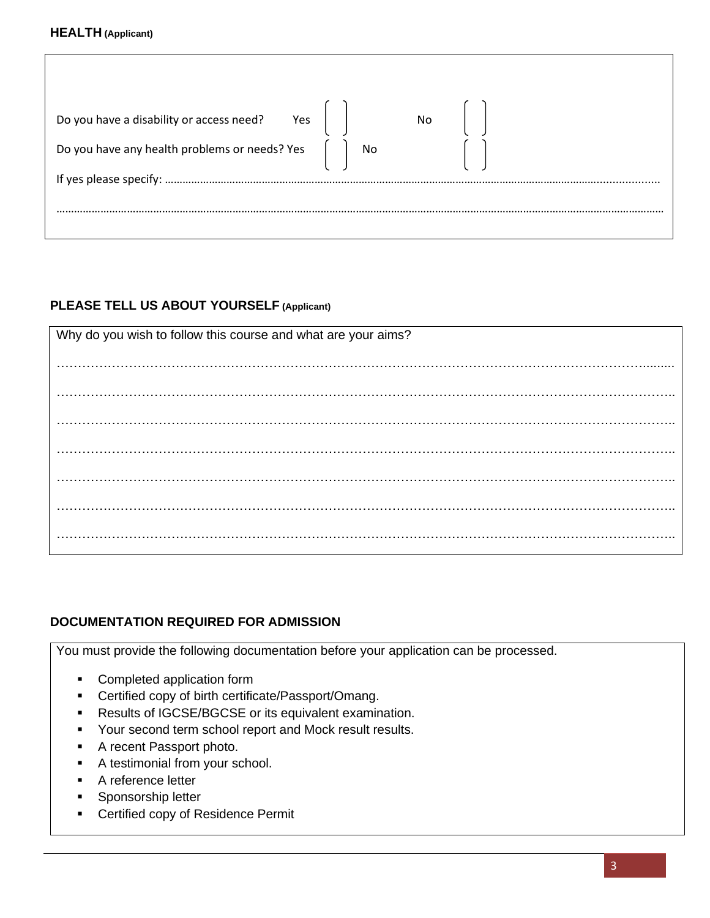#### **HEALTH (Applicant)**

| Do you have a disability or access need? $Yes$     No                                        |  |  |
|----------------------------------------------------------------------------------------------|--|--|
| Do you have any health problems or needs? Yes $\begin{bmatrix} \  \  \  \  \end{bmatrix}$ No |  |  |
|                                                                                              |  |  |
|                                                                                              |  |  |

## **PLEASE TELL US ABOUT YOURSELF (Applicant)**

| Why do you wish to follow this course and what are your aims? |  |  |  |
|---------------------------------------------------------------|--|--|--|
|                                                               |  |  |  |
|                                                               |  |  |  |
|                                                               |  |  |  |
|                                                               |  |  |  |
|                                                               |  |  |  |
|                                                               |  |  |  |
|                                                               |  |  |  |
|                                                               |  |  |  |
|                                                               |  |  |  |
|                                                               |  |  |  |
|                                                               |  |  |  |
|                                                               |  |  |  |

## **DOCUMENTATION REQUIRED FOR ADMISSION**

You must provide the following documentation before your application can be processed.

- Completed application form
- Certified copy of birth certificate/Passport/Omang.
- Results of IGCSE/BGCSE or its equivalent examination.
- Your second term school report and Mock result results.
- A recent Passport photo.
- A testimonial from your school.
- A reference letter
- Sponsorship letter
- Certified copy of Residence Permit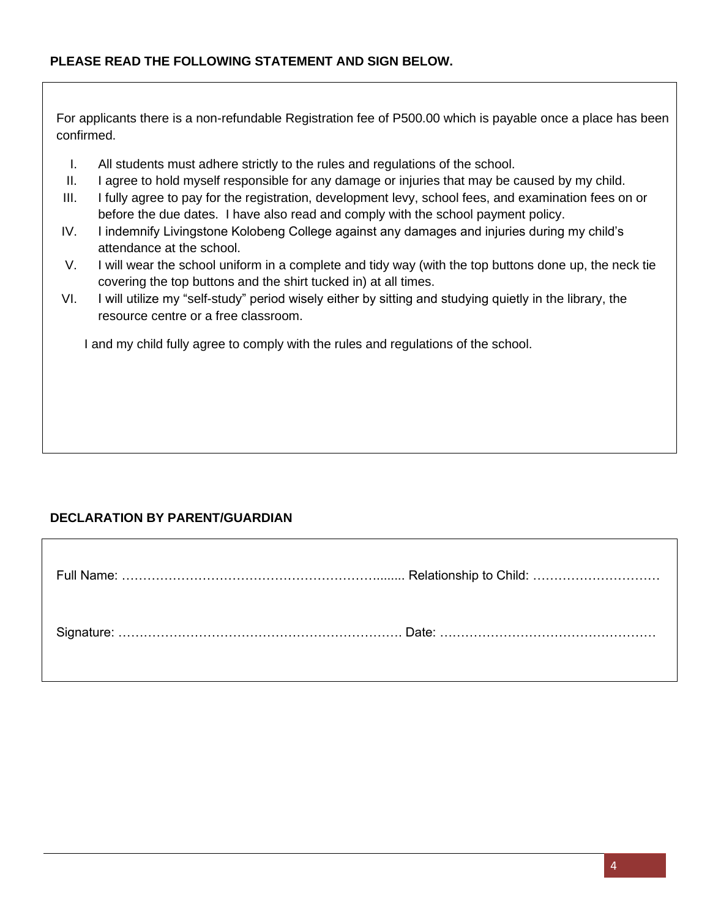### **PLEASE READ THE FOLLOWING STATEMENT AND SIGN BELOW.**

For applicants there is a non-refundable Registration fee of P500.00 which is payable once a place has been confirmed.

- I. All students must adhere strictly to the rules and regulations of the school.
- II. I agree to hold myself responsible for any damage or injuries that may be caused by my child.
- III. I fully agree to pay for the registration, development levy, school fees, and examination fees on or before the due dates. I have also read and comply with the school payment policy.
- IV. I indemnify Livingstone Kolobeng College against any damages and injuries during my child's attendance at the school.
- V. I will wear the school uniform in a complete and tidy way (with the top buttons done up, the neck tie covering the top buttons and the shirt tucked in) at all times.
- VI. I will utilize my "self-study" period wisely either by sitting and studying quietly in the library, the resource centre or a free classroom.

I and my child fully agree to comply with the rules and regulations of the school.

#### **DECLARATION BY PARENT/GUARDIAN**